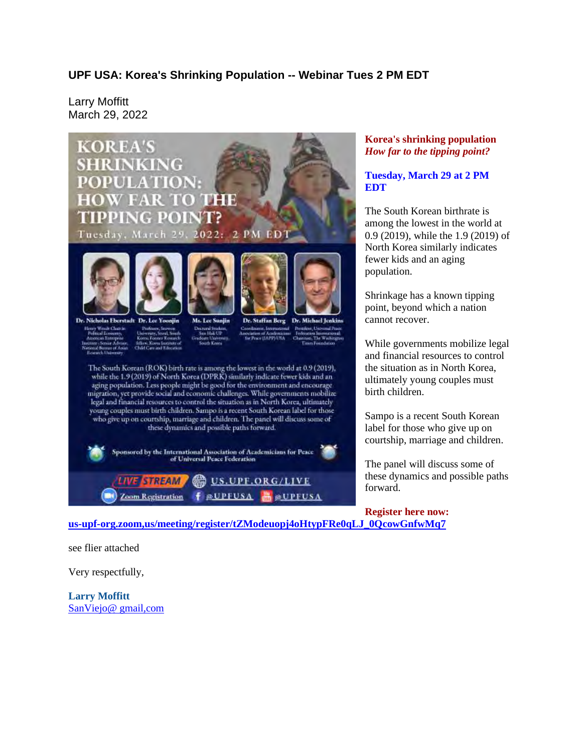## **UPF USA: Korea's Shrinking Population -- Webinar Tues 2 PM EDT**

Larry Moffitt March 29, 2022



## **Korea's shrinking population** *How far to the tipping point?*

## **Tuesday, March 29 at 2 PM EDT**

The South Korean birthrate is among the lowest in the world at 0.9 (2019), while the 1.9 (2019) of North Korea similarly indicates fewer kids and an aging population.

Shrinkage has a known tipping point, beyond which a nation cannot recover.

While governments mobilize legal and financial resources to control the situation as in North Korea, ultimately young couples must birth children.

Sampo is a recent South Korean label for those who give up on courtship, marriage and children.

The panel will discuss some of these dynamics and possible paths forward.

**Register here now: us-upf-org.zoom,us/meeting/register/tZModeuopj4oHtypFRe0qLJ\_0QcowGnfwMq7**

see flier attached

Very respectfully,

**Larry Moffitt** SanViejo@ gmail,com